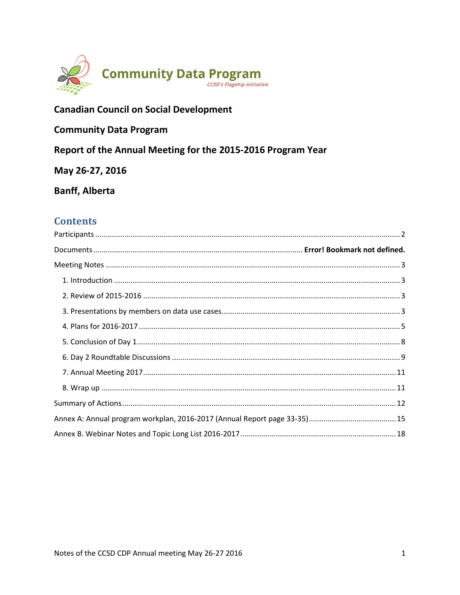

## **Canadian Council on Social Development**

## **Community Data Program**

Report of the Annual Meeting for the 2015-2016 Program Year

May 26-27, 2016

**Banff, Alberta** 

## **Contents**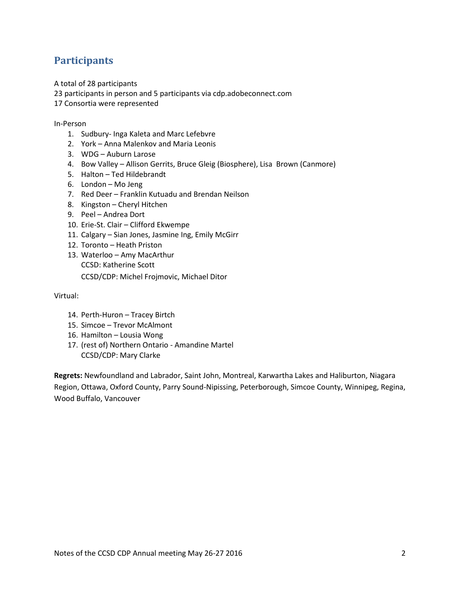## <span id="page-1-0"></span>**Participants**

A total of 28 participants

23 participants in person and 5 participants via cdp.adobeconnect.com

17 Consortia were represented

#### In-Person

- 1. Sudbury- Inga Kaleta and Marc Lefebvre
- 2. York Anna Malenkov and Maria Leonis
- 3. WDG Auburn Larose
- 4. Bow Valley Allison Gerrits, Bruce Gleig (Biosphere), Lisa Brown (Canmore)
- 5. Halton Ted Hildebrandt
- 6. London Mo Jeng
- 7. Red Deer Franklin Kutuadu and Brendan Neilson
- 8. Kingston Cheryl Hitchen
- 9. Peel Andrea Dort
- 10. Erie-St. Clair Clifford Ekwempe
- 11. Calgary Sian Jones, Jasmine Ing, Emily McGirr
- 12. Toronto Heath Priston
- 13. Waterloo Amy MacArthur CCSD: Katherine Scott CCSD/CDP: Michel Frojmovic, Michael Ditor

Virtual:

- 14. Perth-Huron Tracey Birtch
- 15. Simcoe Trevor McAlmont
- 16. Hamilton Lousia Wong
- 17. (rest of) Northern Ontario Amandine Martel CCSD/CDP: Mary Clarke

**Regrets:** Newfoundland and Labrador, Saint John, Montreal, Karwartha Lakes and Haliburton, Niagara Region, Ottawa, Oxford County, Parry Sound-Nipissing, Peterborough, Simcoe County, Winnipeg, Regina, Wood Buffalo, Vancouver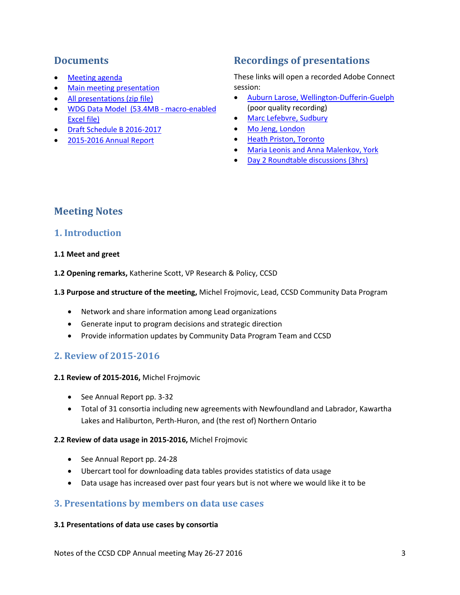## **Documents**

- [Meeting agenda](http://communitydata.ca/sites/default/files/2016_ccsd_cdp_annual_meeting_agenda.pdf)
- [Main meeting presentation](http://communitydata.ca/sites/default/files/CCSDCDPAnnualMeeting2016presentation.pdf)
- [All presentations \(zip file\)](http://communitydata.ca/sites/default/files/CDP%202016%20AGM%20presentations.zip)
- [WDG Data Model \(53.4MB -](http://communitydata.ca/sites/default/files/TGP%20Data%20Model_FINAL.xlsm) macro-enabled [Excel file\)](http://communitydata.ca/sites/default/files/TGP%20Data%20Model_FINAL.xlsm)
- [Draft Schedule B 2016-2017](http://communitydata.ca/sites/default/files/ccsd-cdp_schedule-b_2016-2017_2016-05-13_DRAFT%20without%20Annexes.pdf)
- [2015-2016 Annual Report](http://communitydata.ca/sites/default/files/ccsd-cdp_annual-report_2015-2016.pdf)

## **Recordings of presentations**

These links will open a recorded Adobe Connect session:

- [Auburn Larose, Wellington-Dufferin-Guelph](https://cdp.adobeconnect.com/p9o4vdcqhww/?OWASP_CSRFTOKEN=50b2e7da8f3086024c26a2a2699568bfc26460946edabab7846f4deede795234) (poor quality recording)
- [Marc Lefebvre, Sudbury](https://cdp.adobeconnect.com/p3h68rd1v7x/?OWASP_CSRFTOKEN=50b2e7da8f3086024c26a2a2699568bfc26460946edabab7846f4deede795234)
- [Mo Jeng, London](https://cdp.adobeconnect.com/p9d5a66k0a8/?OWASP_CSRFTOKEN=50b2e7da8f3086024c26a2a2699568bfc26460946edabab7846f4deede795234)
- [Heath Priston, Toronto](https://cdp.adobeconnect.com/p7acq3yghju/?OWASP_CSRFTOKEN=50b2e7da8f3086024c26a2a2699568bfc26460946edabab7846f4deede795234)
- [Maria Leonis and Anna Malenkov, York](https://cdp.adobeconnect.com/p7melhsmlga/?OWASP_CSRFTOKEN=50b2e7da8f3086024c26a2a2699568bfc26460946edabab7846f4deede795234)
- [Day 2 Roundtable discussions \(3hrs\)](https://cdp.adobeconnect.com/p2611f2o3gj/?OWASP_CSRFTOKEN=50b2e7da8f3086024c26a2a2699568bfc26460946edabab7846f4deede795234)

## <span id="page-2-0"></span>**Meeting Notes**

## <span id="page-2-1"></span>**1. Introduction**

### **1.1 Meet and greet**

**1.2 Opening remarks,** Katherine Scott, VP Research & Policy, CCSD

#### **1.3 Purpose and structure of the meeting,** Michel Frojmovic, Lead, CCSD Community Data Program

- Network and share information among Lead organizations
- Generate input to program decisions and strategic direction
- Provide information updates by Community Data Program Team and CCSD

## <span id="page-2-2"></span>**2. Review of 2015-2016**

### **2.1 Review of 2015-2016,** Michel Frojmovic

- See Annual Report pp. 3-32
- Total of 31 consortia including new agreements with Newfoundland and Labrador, Kawartha Lakes and Haliburton, Perth-Huron, and (the rest of) Northern Ontario

## **2.2 Review of data usage in 2015-2016,** Michel Frojmovic

- See Annual Report pp. 24-28
- Ubercart tool for downloading data tables provides statistics of data usage
- Data usage has increased over past four years but is not where we would like it to be

## <span id="page-2-3"></span>**3. Presentations by members on data use cases**

#### **3.1 Presentations of data use cases by consortia**

Notes of the CCSD CDP Annual meeting May 26-27 2016 3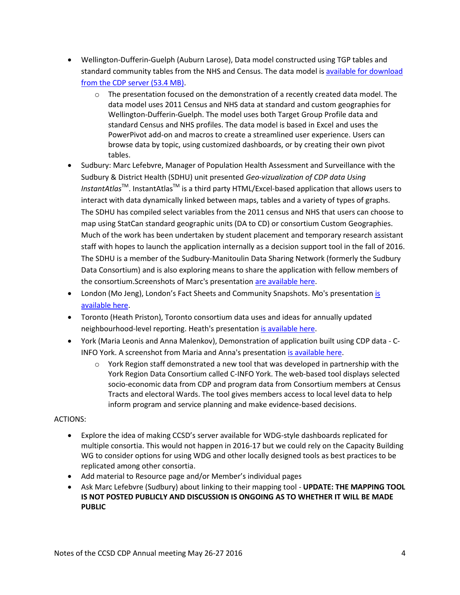- Wellington-Dufferin-Guelph (Auburn Larose), Data model constructed using TGP tables and standard community tables from the NHS and Census. The data model is [available for download](http://communitydata.ca/sites/default/files/TGP%20Data%20Model_FINAL.xlsm)  [from the CDP server \(53.4 MB\).](http://communitydata.ca/sites/default/files/TGP%20Data%20Model_FINAL.xlsm)
	- $\circ$  The presentation focused on the demonstration of a recently created data model. The data model uses 2011 Census and NHS data at standard and custom geographies for Wellington-Dufferin-Guelph. The model uses both Target Group Profile data and standard Census and NHS profiles. The data model is based in Excel and uses the PowerPivot add-on and macros to create a streamlined user experience. Users can browse data by topic, using customized dashboards, or by creating their own pivot tables.
- Sudbury: Marc Lefebvre, Manager of Population Health Assessment and Surveillance with the Sudbury & District Health (SDHU) unit presented *Geo-vizualization of CDP data Using InstantAtlas*<sup>™</sup>. InstantAtlas<sup>™</sup> is a third party HTML/Excel-based application that allows users to interact with data dynamically linked between maps, tables and a variety of types of graphs. The SDHU has compiled select variables from the 2011 census and NHS that users can choose to map using StatCan standard geographic units (DA to CD) or consortium Custom Geographies. Much of the work has been undertaken by student placement and temporary research assistant staff with hopes to launch the application internally as a decision support tool in the fall of 2016. The SDHU is a member of the Sudbury-Manitoulin Data Sharing Network (formerly the Sudbury Data Consortium) and is also exploring means to share the application with fellow members of the consortium.Screenshots of Marc's presentatio[n are available here.](http://communitydata.ca/sites/default/files/Screenshots_Sudbury_Marc_Lefebrve_May26-2016.png)
- London (Mo Jeng), London's Fact Sheets and Community Snapshots. Mo's presentation is [available here.](http://communitydata.ca/sites/default/files/London_MoJeng_May26-2016.pdf)
- Toronto (Heath Priston), Toronto consortium data uses and ideas for annually updated neighbourhood-level reporting. Heath's presentation [is available here.](http://communitydata.ca/sites/default/files/Toronto_HeathPriston_May26-2016.pdf)
- York (Maria Leonis and Anna Malenkov), Demonstration of application built using CDP data C-INFO York. A screenshot from Maria and Anna's presentation [is available here.](http://communitydata.ca/sites/default/files/Screenshot_YorkRegion_May26-2016.png)
	- $\circ$  York Region staff demonstrated a new tool that was developed in partnership with the York Region Data Consortium called C-INFO York. The web-based tool displays selected socio-economic data from CDP and program data from Consortium members at Census Tracts and electoral Wards. The tool gives members access to local level data to help inform program and service planning and make evidence-based decisions.

### ACTIONS:

- Explore the idea of making CCSD's server available for WDG-style dashboards replicated for multiple consortia. This would not happen in 2016-17 but we could rely on the Capacity Building WG to consider options for using WDG and other locally designed tools as best practices to be replicated among other consortia.
- Add material to Resource page and/or Member's individual pages
- Ask Marc Lefebvre (Sudbury) about linking to their mapping tool **UPDATE: THE MAPPING TOOL IS NOT POSTED PUBLICLY AND DISCUSSION IS ONGOING AS TO WHETHER IT WILL BE MADE PUBLIC**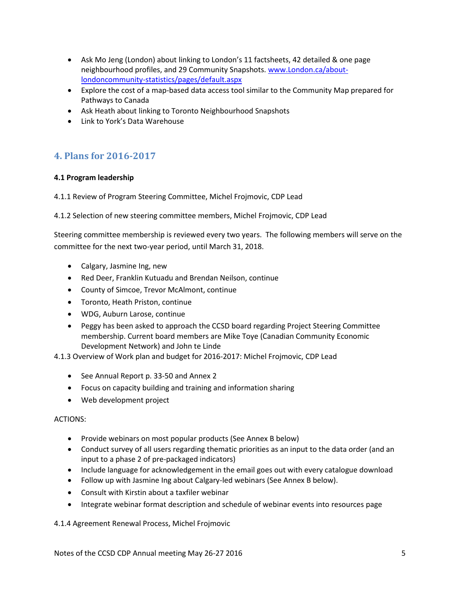- Ask Mo Jeng (London) about linking to London's 11 factsheets, 42 detailed & one page neighbourhood profiles, and 29 Community Snapshots. [www.London.ca/about](http://www.london.ca/about-londoncommunity-statistics/pages/default.aspx)[londoncommunity-statistics/pages/default.aspx](http://www.london.ca/about-londoncommunity-statistics/pages/default.aspx)
- Explore the cost of a map-based data access tool similar to the Community Map prepared for Pathways to Canada
- Ask Heath about linking to Toronto Neighbourhood Snapshots
- Link to York's Data Warehouse

## <span id="page-4-0"></span>**4. Plans for 2016-2017**

## **4.1 Program leadership**

4.1.1 Review of Program Steering Committee, Michel Frojmovic, CDP Lead

4.1.2 Selection of new steering committee members, Michel Frojmovic, CDP Lead

Steering committee membership is reviewed every two years. The following members will serve on the committee for the next two-year period, until March 31, 2018.

- Calgary, Jasmine Ing, new
- Red Deer, Franklin Kutuadu and Brendan Neilson, continue
- County of Simcoe, Trevor McAlmont, continue
- Toronto, Heath Priston, continue
- WDG, Auburn Larose, continue
- Peggy has been asked to approach the CCSD board regarding Project Steering Committee membership. Current board members are Mike Toye (Canadian Community Economic Development Network) and John te Linde

4.1.3 Overview of Work plan and budget for 2016-2017: Michel Frojmovic, CDP Lead

- See Annual Report p. 33-50 and Annex 2
- Focus on capacity building and training and information sharing
- Web development project

### ACTIONS:

- Provide webinars on most popular products (See Annex B below)
- Conduct survey of all users regarding thematic priorities as an input to the data order (and an input to a phase 2 of pre-packaged indicators)
- Include language for acknowledgement in the email goes out with every catalogue download
- Follow up with Jasmine Ing about Calgary-led webinars (See Annex B below).
- Consult with Kirstin about a taxfiler webinar
- Integrate webinar format description and schedule of webinar events into resources page

4.1.4 Agreement Renewal Process, Michel Frojmovic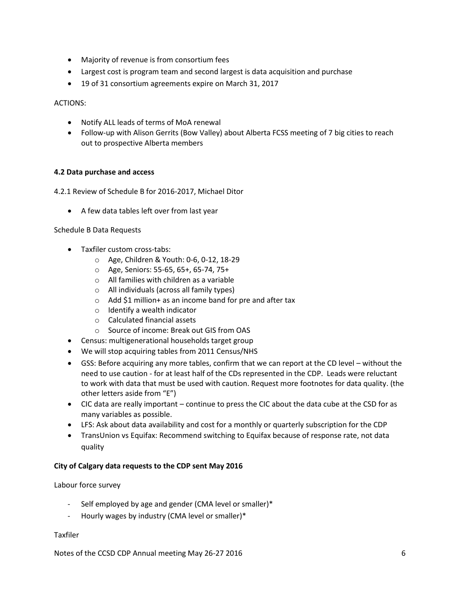- Majority of revenue is from consortium fees
- Largest cost is program team and second largest is data acquisition and purchase
- 19 of 31 consortium agreements expire on March 31, 2017

ACTIONS:

- Notify ALL leads of terms of MoA renewal
- Follow-up with Alison Gerrits (Bow Valley) about Alberta FCSS meeting of 7 big cities to reach out to prospective Alberta members

## **4.2 Data purchase and access**

4.2.1 Review of Schedule B for 2016-2017, Michael Ditor

A few data tables left over from last year

Schedule B Data Requests

- Taxfiler custom cross-tabs:
	- o Age, Children & Youth: 0-6, 0-12, 18-29
	- o Age, Seniors: 55-65, 65+, 65-74, 75+
	- o All families with children as a variable
	- o All individuals (across all family types)
	- o Add \$1 million+ as an income band for pre and after tax
	- o Identify a wealth indicator
	- o Calculated financial assets
	- o Source of income: Break out GIS from OAS
- Census: multigenerational households target group
- We will stop acquiring tables from 2011 Census/NHS
- GSS: Before acquiring any more tables, confirm that we can report at the CD level without the need to use caution - for at least half of the CDs represented in the CDP. Leads were reluctant to work with data that must be used with caution. Request more footnotes for data quality. (the other letters aside from "E")
- CIC data are really important continue to press the CIC about the data cube at the CSD for as many variables as possible.
- LFS: Ask about data availability and cost for a monthly or quarterly subscription for the CDP
- TransUnion vs Equifax: Recommend switching to Equifax because of response rate, not data quality

### **City of Calgary data requests to the CDP sent May 2016**

Labour force survey

- Self employed by age and gender (CMA level or smaller)\*
- Hourly wages by industry (CMA level or smaller)\*

Taxfiler

Notes of the CCSD CDP Annual meeting May 26-27 2016 6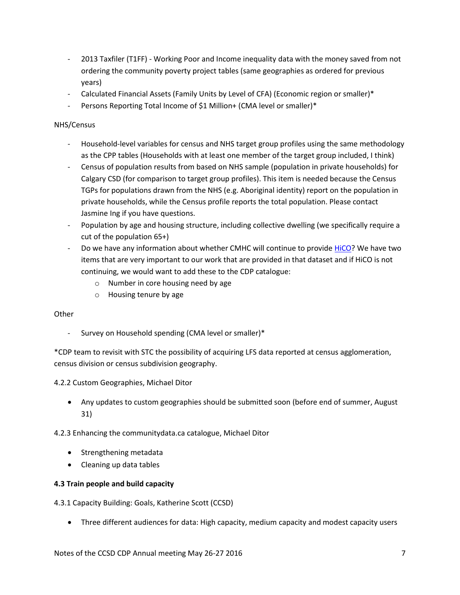- 2013 Taxfiler (T1FF) Working Poor and Income inequality data with the money saved from not ordering the community poverty project tables (same geographies as ordered for previous years)
- Calculated Financial Assets (Family Units by Level of CFA) (Economic region or smaller)\*
- Persons Reporting Total Income of \$1 Million+ (CMA level or smaller)\*

## NHS/Census

- Household-level variables for census and NHS target group profiles using the same methodology as the CPP tables (Households with at least one member of the target group included, I think)
- Census of population results from based on NHS sample (population in private households) for Calgary CSD (for comparison to target group profiles). This item is needed because the Census TGPs for populations drawn from the NHS (e.g. Aboriginal identity) report on the population in private households, while the Census profile reports the total population. Please contact Jasmine Ing if you have questions.
- Population by age and housing structure, including collective dwelling (we specifically require a cut of the population 65+)
- Do we have any information about whether CMHC will continue to provide [HiCO?](http://cmhc.beyond2020.com/TableViewer/tableView.aspx?ReportId=3&IF_Language=eng) We have two items that are very important to our work that are provided in that dataset and if HiCO is not continuing, we would want to add these to the CDP catalogue:
	- o Number in core housing need by age
	- o Housing tenure by age

## **Other**

Survey on Household spending (CMA level or smaller)\*

\*CDP team to revisit with STC the possibility of acquiring LFS data reported at census agglomeration, census division or census subdivision geography.

4.2.2 Custom Geographies, Michael Ditor

 Any updates to custom geographies should be submitted soon (before end of summer, August 31)

4.2.3 Enhancing the communitydata.ca catalogue, Michael Ditor

- Strengthening metadata
- Cleaning up data tables

### **4.3 Train people and build capacity**

4.3.1 Capacity Building: Goals, Katherine Scott (CCSD)

Three different audiences for data: High capacity, medium capacity and modest capacity users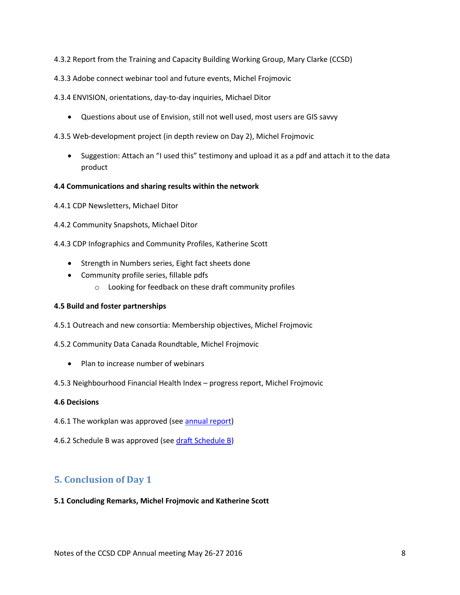- 4.3.2 Report from the Training and Capacity Building Working Group, Mary Clarke (CCSD)
- 4.3.3 Adobe connect webinar tool and future events, Michel Frojmovic
- 4.3.4 ENVISION, orientations, day-to-day inquiries, Michael Ditor
	- Questions about use of Envision, still not well used, most users are GIS savvy
- 4.3.5 Web-development project (in depth review on Day 2), Michel Frojmovic
	- Suggestion: Attach an "I used this" testimony and upload it as a pdf and attach it to the data product

#### **4.4 Communications and sharing results within the network**

- 4.4.1 CDP Newsletters, Michael Ditor
- 4.4.2 Community Snapshots, Michael Ditor
- 4.4.3 CDP Infographics and Community Profiles, Katherine Scott
	- Strength in Numbers series, Eight fact sheets done
	- Community profile series, fillable pdfs
		- o Looking for feedback on these draft community profiles

### **4.5 Build and foster partnerships**

- 4.5.1 Outreach and new consortia: Membership objectives, Michel Frojmovic
- 4.5.2 Community Data Canada Roundtable, Michel Frojmovic
	- Plan to increase number of webinars
- 4.5.3 Neighbourhood Financial Health Index progress report, Michel Frojmovic

### **4.6 Decisions**

- 4.6.1 The workplan was approved (see [annual report\)](http://communitydata.ca/sites/default/files/ccsd-cdp_annual-report_2015-2016.pdf)
- 4.6.2 Schedule B was approved (see draft [Schedule B\)](http://communitydata.ca/sites/default/files/ccsd-cdp_schedule-b_2016-2017_2016-05-13_DRAFT%20without%20Annexes.pdf)

## <span id="page-7-0"></span>**5. Conclusion of Day 1**

#### **5.1 Concluding Remarks, Michel Frojmovic and Katherine Scott**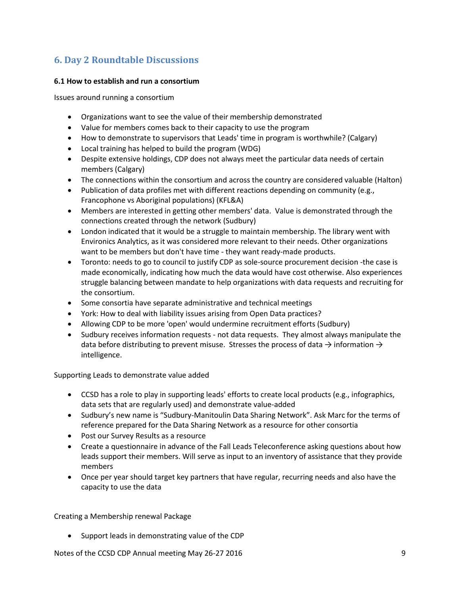## <span id="page-8-0"></span>**6. Day 2 Roundtable Discussions**

## **6.1 How to establish and run a consortium**

Issues around running a consortium

- Organizations want to see the value of their membership demonstrated
- Value for members comes back to their capacity to use the program
- How to demonstrate to supervisors that Leads' time in program is worthwhile? (Calgary)
- Local training has helped to build the program (WDG)
- Despite extensive holdings, CDP does not always meet the particular data needs of certain members (Calgary)
- The connections within the consortium and across the country are considered valuable (Halton)
- Publication of data profiles met with different reactions depending on community (e.g., Francophone vs Aboriginal populations) (KFL&A)
- Members are interested in getting other members' data. Value is demonstrated through the connections created through the network (Sudbury)
- London indicated that it would be a struggle to maintain membership. The library went with Environics Analytics, as it was considered more relevant to their needs. Other organizations want to be members but don't have time - they want ready-made products.
- Toronto: needs to go to council to justify CDP as sole-source procurement decision -the case is made economically, indicating how much the data would have cost otherwise. Also experiences struggle balancing between mandate to help organizations with data requests and recruiting for the consortium.
- Some consortia have separate administrative and technical meetings
- York: How to deal with liability issues arising from Open Data practices?
- Allowing CDP to be more 'open' would undermine recruitment efforts (Sudbury)
- Sudbury receives information requests not data requests. They almost always manipulate the data before distributing to prevent misuse. Stresses the process of data  $\rightarrow$  information  $\rightarrow$ intelligence.

Supporting Leads to demonstrate value added

- CCSD has a role to play in supporting leads' efforts to create local products (e.g., infographics, data sets that are regularly used) and demonstrate value-added
- Sudbury's new name is "Sudbury-Manitoulin Data Sharing Network". Ask Marc for the terms of reference prepared for the Data Sharing Network as a resource for other consortia
- Post our Survey Results as a resource
- Create a questionnaire in advance of the Fall Leads Teleconference asking questions about how leads support their members. Will serve as input to an inventory of assistance that they provide members
- Once per year should target key partners that have regular, recurring needs and also have the capacity to use the data

Creating a Membership renewal Package

Support leads in demonstrating value of the CDP

Notes of the CCSD CDP Annual meeting May 26-27 2016 **9** and the CCSD CDP Annual meeting May 26-27 2016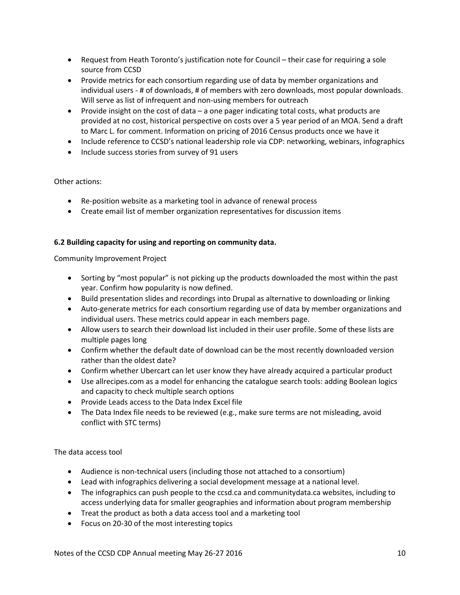- Request from Heath Toronto's justification note for Council their case for requiring a sole source from CCSD
- Provide metrics for each consortium regarding use of data by member organizations and individual users - # of downloads, # of members with zero downloads, most popular downloads. Will serve as list of infrequent and non-using members for outreach
- Provide insight on the cost of data a one pager indicating total costs, what products are provided at no cost, historical perspective on costs over a 5 year period of an MOA. Send a draft to Marc L. for comment. Information on pricing of 2016 Census products once we have it
- Include reference to CCSD's national leadership role via CDP: networking, webinars, infographics
- Include success stories from survey of 91 users

## Other actions:

- Re-position website as a marketing tool in advance of renewal process
- Create email list of member organization representatives for discussion items

### **6.2 Building capacity for using and reporting on community data.**

Community Improvement Project

- Sorting by "most popular" is not picking up the products downloaded the most within the past year. Confirm how popularity is now defined.
- Build presentation slides and recordings into Drupal as alternative to downloading or linking
- Auto-generate metrics for each consortium regarding use of data by member organizations and individual users. These metrics could appear in each members page.
- Allow users to search their download list included in their user profile. Some of these lists are multiple pages long
- Confirm whether the default date of download can be the most recently downloaded version rather than the oldest date?
- Confirm whether Ubercart can let user know they have already acquired a particular product
- Use allrecipes.com as a model for enhancing the catalogue search tools: adding Boolean logics and capacity to check multiple search options
- Provide Leads access to the Data Index Excel file
- The Data Index file needs to be reviewed (e.g., make sure terms are not misleading, avoid conflict with STC terms)

The data access tool

- Audience is non-technical users (including those not attached to a consortium)
- Lead with infographics delivering a social development message at a national level.
- The infographics can push people to the ccsd.ca and communitydata.ca websites, including to access underlying data for smaller geographies and information about program membership
- Treat the product as both a data access tool and a marketing tool
- Focus on 20-30 of the most interesting topics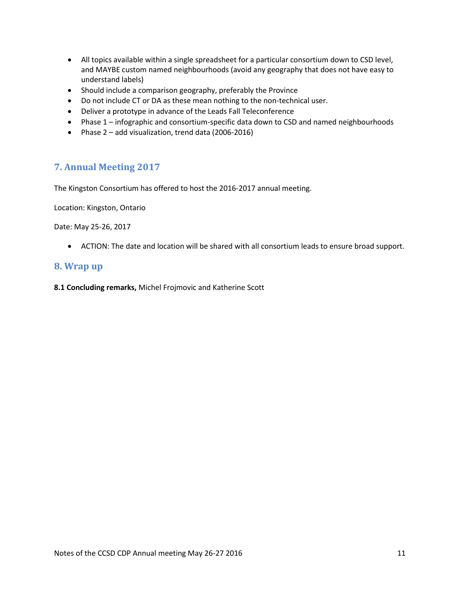- All topics available within a single spreadsheet for a particular consortium down to CSD level, and MAYBE custom named neighbourhoods (avoid any geography that does not have easy to understand labels)
- Should include a comparison geography, preferably the Province
- Do not include CT or DA as these mean nothing to the non-technical user.
- Deliver a prototype in advance of the Leads Fall Teleconference
- Phase 1 infographic and consortium-specific data down to CSD and named neighbourhoods
- Phase 2 add visualization, trend data (2006-2016)

## <span id="page-10-0"></span>**7. Annual Meeting 2017**

The Kingston Consortium has offered to host the 2016-2017 annual meeting.

Location: Kingston, Ontario

Date: May 25-26, 2017

ACTION: The date and location will be shared with all consortium leads to ensure broad support.

## <span id="page-10-1"></span>**8. Wrap up**

<span id="page-10-2"></span>**8.1 Concluding remarks,** Michel Frojmovic and Katherine Scott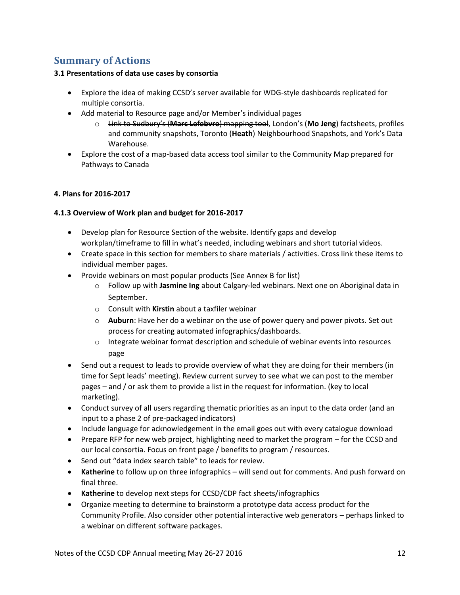## **Summary of Actions**

## **3.1 Presentations of data use cases by consortia**

- Explore the idea of making CCSD's server available for WDG-style dashboards replicated for multiple consortia.
- Add material to Resource page and/or Member's individual pages
	- o Link to Sudbury's (**Marc Lefebvre**) mapping tool, London's (**Mo Jeng**) factsheets, profiles and community snapshots, Toronto (**Heath**) Neighbourhood Snapshots, and York's Data Warehouse.
- Explore the cost of a map-based data access tool similar to the Community Map prepared for Pathways to Canada

## **4. Plans for 2016-2017**

## **4.1.3 Overview of Work plan and budget for 2016-2017**

- Develop plan for Resource Section of the website. Identify gaps and develop workplan/timeframe to fill in what's needed, including webinars and short tutorial videos.
- Create space in this section for members to share materials / activities. Cross link these items to individual member pages.
- Provide webinars on most popular products (See Annex B for list)
	- o Follow up with **Jasmine Ing** about Calgary-led webinars. Next one on Aboriginal data in September.
	- o Consult with **Kirstin** about a taxfiler webinar
	- o **Auburn**: Have her do a webinar on the use of power query and power pivots. Set out process for creating automated infographics/dashboards.
	- $\circ$  Integrate webinar format description and schedule of webinar events into resources page
- Send out a request to leads to provide overview of what they are doing for their members (in time for Sept leads' meeting). Review current survey to see what we can post to the member pages – and / or ask them to provide a list in the request for information. (key to local marketing).
- Conduct survey of all users regarding thematic priorities as an input to the data order (and an input to a phase 2 of pre-packaged indicators)
- Include language for acknowledgement in the email goes out with every catalogue download
- Prepare RFP for new web project, highlighting need to market the program for the CCSD and our local consortia. Focus on front page / benefits to program / resources.
- Send out "data index search table" to leads for review.
- **Katherine** to follow up on three infographics will send out for comments. And push forward on final three.
- **Katherine** to develop next steps for CCSD/CDP fact sheets/infographics
- Organize meeting to determine to brainstorm a prototype data access product for the Community Profile. Also consider other potential interactive web generators – perhaps linked to a webinar on different software packages.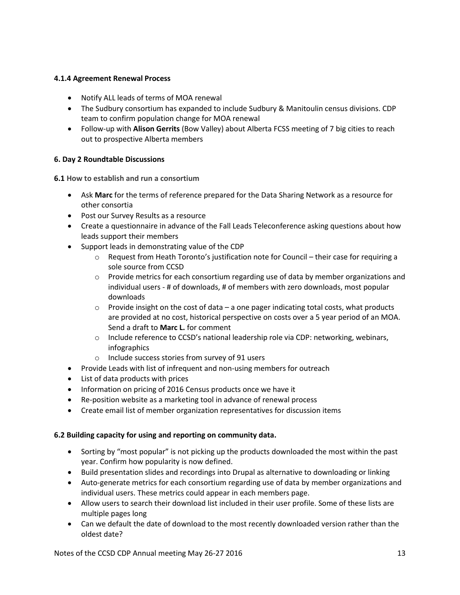## **4.1.4 Agreement Renewal Process**

- Notify ALL leads of terms of MOA renewal
- The Sudbury consortium has expanded to include Sudbury & Manitoulin census divisions. CDP team to confirm population change for MOA renewal
- Follow-up with **Alison Gerrits** (Bow Valley) about Alberta FCSS meeting of 7 big cities to reach out to prospective Alberta members

## **6. Day 2 Roundtable Discussions**

**6.1 How to establish and run a consortium**

- Ask **Marc** for the terms of reference prepared for the Data Sharing Network as a resource for other consortia
- Post our Survey Results as a resource
- Create a questionnaire in advance of the Fall Leads Teleconference asking questions about how leads support their members
- Support leads in demonstrating value of the CDP
	- $\circ$  Request from Heath Toronto's justification note for Council their case for requiring a sole source from CCSD
	- $\circ$  Provide metrics for each consortium regarding use of data by member organizations and individual users - # of downloads, # of members with zero downloads, most popular downloads
	- $\circ$  Provide insight on the cost of data a one pager indicating total costs, what products are provided at no cost, historical perspective on costs over a 5 year period of an MOA. Send a draft to **Marc L.** for comment
	- o Include reference to CCSD's national leadership role via CDP: networking, webinars, infographics
	- o Include success stories from survey of 91 users
- Provide Leads with list of infrequent and non-using members for outreach
- List of data products with prices
- Information on pricing of 2016 Census products once we have it
- Re-position website as a marketing tool in advance of renewal process
- Create email list of member organization representatives for discussion items

### **6.2 Building capacity for using and reporting on community data.**

- Sorting by "most popular" is not picking up the products downloaded the most within the past year. Confirm how popularity is now defined.
- Build presentation slides and recordings into Drupal as alternative to downloading or linking
- Auto-generate metrics for each consortium regarding use of data by member organizations and individual users. These metrics could appear in each members page.
- Allow users to search their download list included in their user profile. Some of these lists are multiple pages long
- Can we default the date of download to the most recently downloaded version rather than the oldest date?

Notes of the CCSD CDP Annual meeting May 26-27 2016 13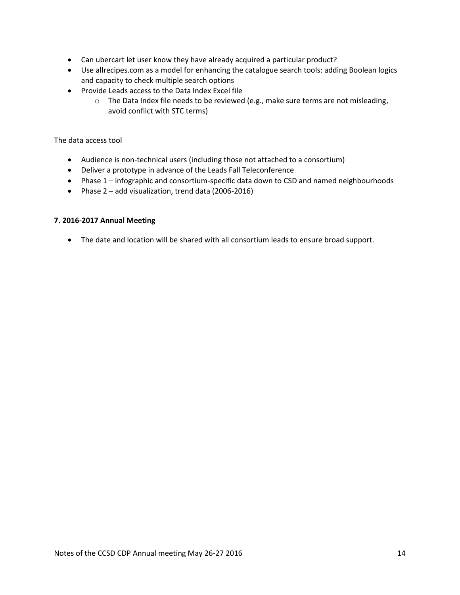- Can ubercart let user know they have already acquired a particular product?
- Use allrecipes.com as a model for enhancing the catalogue search tools: adding Boolean logics and capacity to check multiple search options
- Provide Leads access to the Data Index Excel file
	- $\circ$  The Data Index file needs to be reviewed (e.g., make sure terms are not misleading, avoid conflict with STC terms)

The data access tool

- Audience is non-technical users (including those not attached to a consortium)
- Deliver a prototype in advance of the Leads Fall Teleconference
- Phase 1 infographic and consortium-specific data down to CSD and named neighbourhoods
- Phase 2 add visualization, trend data (2006-2016)

### **7. 2016-2017 Annual Meeting**

<span id="page-13-0"></span>The date and location will be shared with all consortium leads to ensure broad support.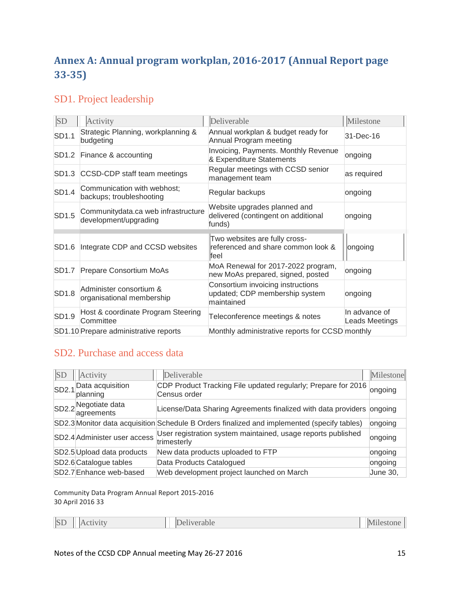# **Annex A: Annual program workplan, 2016-2017 (Annual Report page 33-35)**

## SD1. Project leadership

| SD    | Activity                                                     | Deliverable                                                                       | Milestone                       |
|-------|--------------------------------------------------------------|-----------------------------------------------------------------------------------|---------------------------------|
| SD1.1 | Strategic Planning, workplanning &<br>budgeting              | Annual workplan & budget ready for<br>Annual Program meeting                      | 31-Dec-16                       |
| SD1.2 | Finance & accounting                                         | <b>Invoicing, Payments. Monthly Revenue</b><br>& Expenditure Statements           | ongoing                         |
| SD1.3 | CCSD-CDP staff team meetings                                 | Regular meetings with CCSD senior<br>management team                              | as required                     |
| SD1.4 | Communication with webhost;<br>backups; troubleshooting      | Regular backups                                                                   | ongoing                         |
| SD1.5 | Communitydata.ca web infrastructure<br>development/upgrading | Website upgrades planned and<br>delivered (contingent on additional<br>funds)     | ongoing                         |
| SD1.6 | Integrate CDP and CCSD websites                              | Two websites are fully cross-<br>referenced and share common look &<br>lfeel      | ongoing                         |
| SD1.7 | Prepare Consortium MoAs                                      | MoA Renewal for 2017-2022 program,<br>new MoAs prepared, signed, posted           | ongoing                         |
| SD1.8 | Administer consortium &<br>organisational membership         | Consortium invoicing instructions<br>updated; CDP membership system<br>maintained | ongoing                         |
| SD1.9 | Host & coordinate Program Steering<br>Committee              | Teleconference meetings & notes                                                   | In advance of<br>Leads Meetings |
|       | SD1.10 Prepare administrative reports                        | Monthly administrative reports for CCSD monthly                                   |                                 |

## SD2. Purchase and access data

| <b>SD</b>         | Activity                                      | Deliverable                                                                                 | Milestone |
|-------------------|-----------------------------------------------|---------------------------------------------------------------------------------------------|-----------|
| SD <sub>2.1</sub> | Data acquisition<br>planning                  | CDP Product Tracking File updated regularly; Prepare for 2016<br>Census order               | ongoing   |
|                   | SD2.2 <sup>Negotiate data</sup><br>agreements | License/Data Sharing Agreements finalized with data providers ongoing                       |           |
|                   |                                               | SD2.3 Monitor data acquisition Schedule B Orders finalized and implemented (specify tables) | ongoing   |
|                   | SD2.4 Administer user access                  | User registration system maintained, usage reports published<br>trimesterly                 | ongoing   |
|                   | SD2.5 Upload data products                    | New data products uploaded to FTP                                                           | ongoing   |
|                   | SD2.6 Catalogue tables                        | Data Products Catalogued                                                                    | ongoing   |
|                   | SD2.7 Enhance web-based                       | Web development project launched on March                                                   | June 30,  |

Community Data Program Annual Report 2015-2016 30 April 2016 33

| <b>SL</b><br>iverable<br>P<br>, <u>. .</u> .<br>$-$ |
|-----------------------------------------------------|
|-----------------------------------------------------|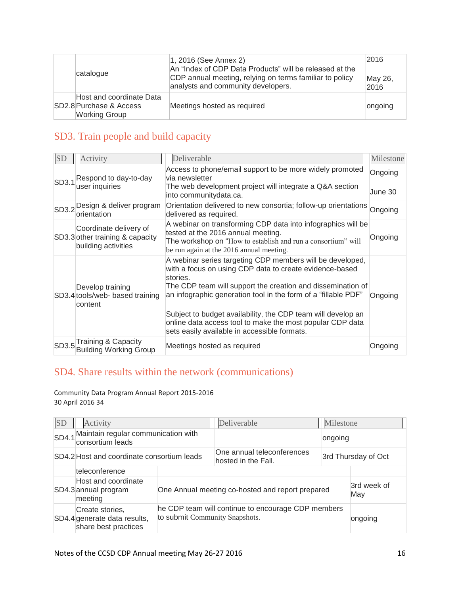| catalogue                                                                   | $ 1, 2016$ (See Annex 2)<br>An "Index of CDP Data Products" will be released at the<br>CDP annual meeting, relying on terms familiar to policy<br>analysts and community developers. | 2016<br>May 26,<br>2016 |
|-----------------------------------------------------------------------------|--------------------------------------------------------------------------------------------------------------------------------------------------------------------------------------|-------------------------|
| Host and coordinate Data<br>SD2.8 Purchase & Access<br><b>Working Group</b> | Meetings hosted as required                                                                                                                                                          | ongoing                 |

## SD3. Train people and build capacity

| <b>SD</b> | Activity                                                                         | Deliverable                                                                                                                                                                                                                                                                                                                                                                                                                                    | Milestone |
|-----------|----------------------------------------------------------------------------------|------------------------------------------------------------------------------------------------------------------------------------------------------------------------------------------------------------------------------------------------------------------------------------------------------------------------------------------------------------------------------------------------------------------------------------------------|-----------|
| SD3.1     | Respond to day-to-day                                                            | Access to phone/email support to be more widely promoted<br>via newsletter                                                                                                                                                                                                                                                                                                                                                                     | Ongoing   |
|           | user inquiries                                                                   | The web development project will integrate a Q&A section<br>into communitydata.ca.                                                                                                                                                                                                                                                                                                                                                             | June 30   |
|           | SD3.2 Design & deliver program<br>orientation                                    | Orientation delivered to new consortia; follow-up orientations<br>delivered as required.                                                                                                                                                                                                                                                                                                                                                       | Ongoing   |
|           | Coordinate delivery of<br>SD3.3 other training & capacity<br>building activities | A webinar on transforming CDP data into infographics will be<br>tested at the 2016 annual meeting.<br>The workshop on "How to establish and run a consortium" will<br>be run again at the 2016 annual meeting.                                                                                                                                                                                                                                 | Ongoing   |
|           | Develop training<br>SD3.4 tools/web- based training<br>content                   | A webinar series targeting CDP members will be developed,<br>with a focus on using CDP data to create evidence-based<br>stories.<br>The CDP team will support the creation and dissemination of<br>an infographic generation tool in the form of a "fillable PDF"<br>Subject to budget availability, the CDP team will develop an<br>online data access tool to make the most popular CDP data<br>sets easily available in accessible formats. | Ongoing   |
|           | SD3.5 Training & Capacity<br><b>Building Working Group</b>                       | Meetings hosted as required                                                                                                                                                                                                                                                                                                                                                                                                                    | Ongoing   |

## SD4. Share results within the network (communications)

Community Data Program Annual Report 2015-2016 30 April 2016 34

| <b>SD</b> | Activity                                                                 |                                                                                      | Deliverable                                       | Milestone |                     |
|-----------|--------------------------------------------------------------------------|--------------------------------------------------------------------------------------|---------------------------------------------------|-----------|---------------------|
|           | SD4.1 <sup>Maintain</sup> regular communication with<br>consortium leads |                                                                                      |                                                   | ongoing   |                     |
|           | SD4.2 Host and coordinate consortium leads                               |                                                                                      | One annual teleconferences<br>hosted in the Fall. |           | 3rd Thursday of Oct |
|           | teleconference                                                           |                                                                                      |                                                   |           |                     |
|           | Host and coordinate<br>SD4.3 annual program<br>meeting                   |                                                                                      | One Annual meeting co-hosted and report prepared  |           | 3rd week of<br>May  |
|           | Create stories,<br>SD4.4 generate data results,<br>share best practices  | he CDP team will continue to encourage CDP members<br>to submit Community Snapshots. |                                                   | ongoing   |                     |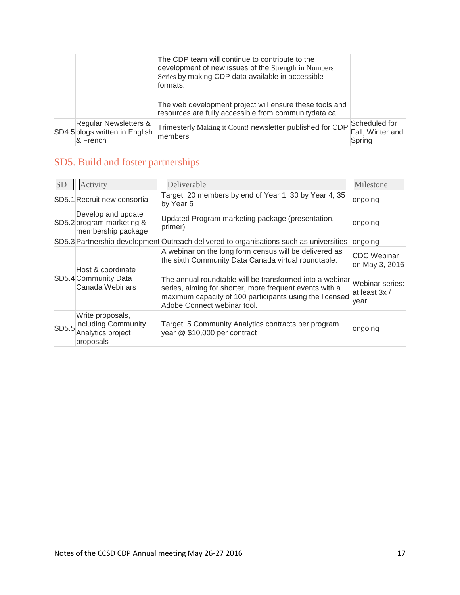|                                                                     | The CDP team will continue to contribute to the<br>development of new issues of the Strength in Numbers<br>Series by making CDP data available in accessible<br>formats. |                                             |
|---------------------------------------------------------------------|--------------------------------------------------------------------------------------------------------------------------------------------------------------------------|---------------------------------------------|
|                                                                     | The web development project will ensure these tools and<br>resources are fully accessible from community data.ca.                                                        |                                             |
| Regular Newsletters &<br>SD4.5 blogs written in English<br>& French | Trimesterly Making it Count! newsletter published for CDP<br>members                                                                                                     | Scheduled for<br>Fall, Winter and<br>Spring |

# SD5. Build and foster partnerships

| <b>SD</b> | Activity                                                                        | Deliverable                                                                                                                                                                                                                                                                                                                    | Milestone                                                                        |
|-----------|---------------------------------------------------------------------------------|--------------------------------------------------------------------------------------------------------------------------------------------------------------------------------------------------------------------------------------------------------------------------------------------------------------------------------|----------------------------------------------------------------------------------|
|           | SD5.1 Recruit new consortia                                                     | Target: 20 members by end of Year 1; 30 by Year 4; 35<br>by Year 5                                                                                                                                                                                                                                                             | ongoing                                                                          |
|           | Develop and update<br>SD5.2 program marketing &<br>membership package           | Updated Program marketing package (presentation,<br>primer)                                                                                                                                                                                                                                                                    | ongoing                                                                          |
|           |                                                                                 | SD5.3 Partnership development Outreach delivered to organisations such as universities                                                                                                                                                                                                                                         | ongoing                                                                          |
|           | Host & coordinate<br>SD5.4 Community Data<br>Canada Webinars                    | A webinar on the long form census will be delivered as<br>the sixth Community Data Canada virtual roundtable.<br>The annual roundtable will be transformed into a webinar<br>series, aiming for shorter, more frequent events with a<br>maximum capacity of 100 participants using the licensed<br>Adobe Connect webinar tool. | <b>CDC</b> Webinar<br>on May 3, 2016<br>Webinar series:<br>at least 3x /<br>year |
|           | Write proposals,<br>SD5.5 including Community<br>Analytics project<br>proposals | Target: 5 Community Analytics contracts per program<br>year @ \$10,000 per contract                                                                                                                                                                                                                                            | ongoing                                                                          |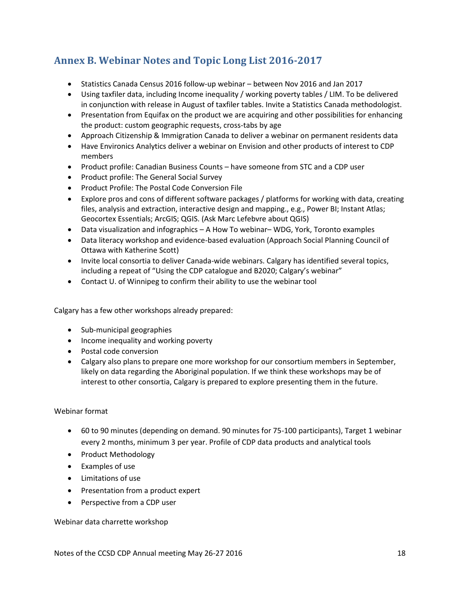## <span id="page-17-0"></span>**Annex B. Webinar Notes and Topic Long List 2016-2017**

- Statistics Canada Census 2016 follow-up webinar between Nov 2016 and Jan 2017
- Using taxfiler data, including Income inequality / working poverty tables / LIM. To be delivered in conjunction with release in August of taxfiler tables. Invite a Statistics Canada methodologist.
- Presentation from Equifax on the product we are acquiring and other possibilities for enhancing the product: custom geographic requests, cross-tabs by age
- Approach Citizenship & Immigration Canada to deliver a webinar on permanent residents data
- Have Environics Analytics deliver a webinar on Envision and other products of interest to CDP members
- Product profile: Canadian Business Counts have someone from STC and a CDP user
- Product profile: The General Social Survey
- Product Profile: The Postal Code Conversion File
- Explore pros and cons of different software packages / platforms for working with data, creating files, analysis and extraction, interactive design and mapping., e.g., Power BI; Instant Atlas; Geocortex Essentials; ArcGIS; QGIS. (Ask Marc Lefebvre about QGIS)
- Data visualization and infographics A How To webinar– WDG, York, Toronto examples
- Data literacy workshop and evidence-based evaluation (Approach Social Planning Council of Ottawa with Katherine Scott)
- Invite local consortia to deliver Canada-wide webinars. Calgary has identified several topics, including a repeat of "Using the CDP catalogue and B2020; Calgary's webinar"
- Contact U. of Winnipeg to confirm their ability to use the webinar tool

Calgary has a few other workshops already prepared:

- Sub-municipal geographies
- Income inequality and working poverty
- Postal code conversion
- Calgary also plans to prepare one more workshop for our consortium members in September, likely on data regarding the Aboriginal population. If we think these workshops may be of interest to other consortia, Calgary is prepared to explore presenting them in the future.

### Webinar format

- 60 to 90 minutes (depending on demand. 90 minutes for 75-100 participants), Target 1 webinar every 2 months, minimum 3 per year. Profile of CDP data products and analytical tools
- Product Methodology
- Examples of use
- Limitations of use
- Presentation from a product expert
- Perspective from a CDP user

Webinar data charrette workshop